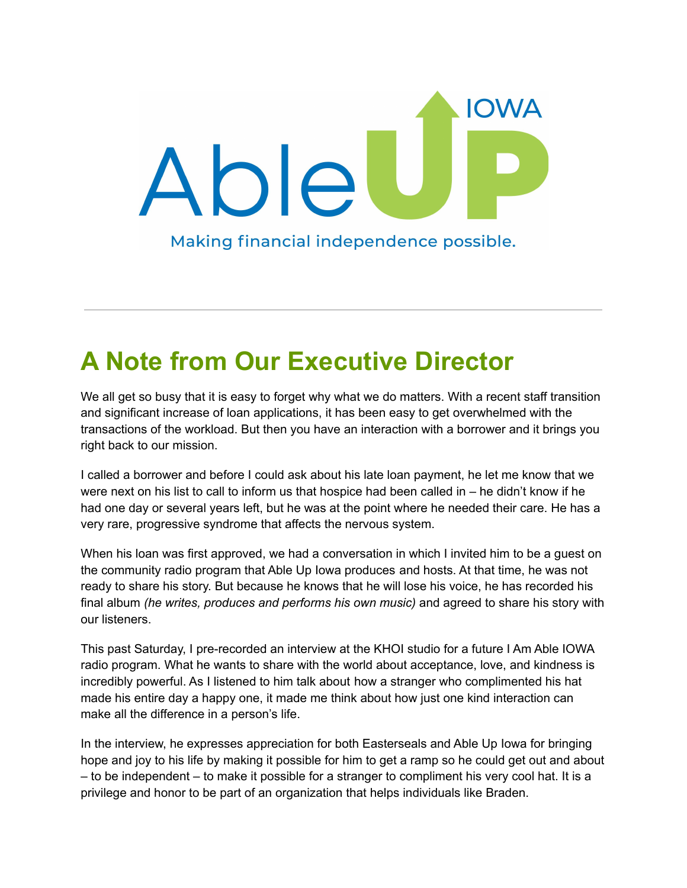

# **A Note from Our Executive Director**

We all get so busy that it is easy to forget why what we do matters. With a recent staff transition and significant increase of loan applications, it has been easy to get overwhelmed with the transactions of the workload. But then you have an interaction with a borrower and it brings you right back to our mission.

I called a borrower and before I could ask about his late loan payment, he let me know that we were next on his list to call to inform us that hospice had been called in – he didn't know if he had one day or several years left, but he was at the point where he needed their care. He has a very rare, progressive syndrome that affects the nervous system.

When his loan was first approved, we had a conversation in which I invited him to be a guest on the community radio program that Able Up Iowa produces and hosts. At that time, he was not ready to share his story. But because he knows that he will lose his voice, he has recorded his final album *(he writes, produces and performs his own music)* and agreed to share his story with our listeners.

This past Saturday, I pre-recorded an interview at the KHOI studio for a future I Am Able IOWA radio program. What he wants to share with the world about acceptance, love, and kindness is incredibly powerful. As I listened to him talk about how a stranger who complimented his hat made his entire day a happy one, it made me think about how just one kind interaction can make all the difference in a person's life.

In the interview, he expresses appreciation for both Easterseals and Able Up Iowa for bringing hope and joy to his life by making it possible for him to get a ramp so he could get out and about – to be independent – to make it possible for a stranger to compliment his very cool hat. It is a privilege and honor to be part of an organization that helps individuals like Braden.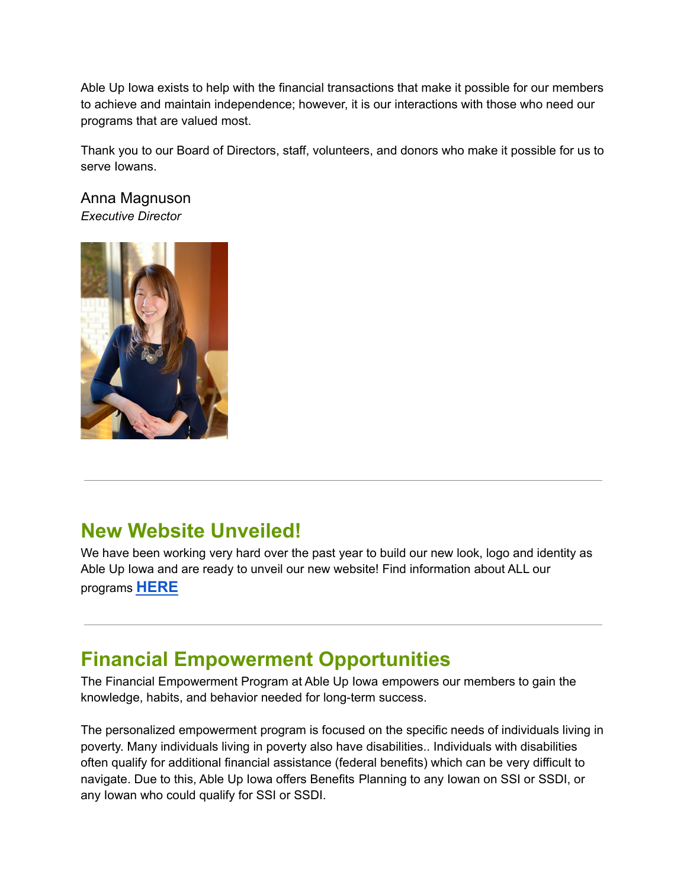Able Up Iowa exists to help with the financial transactions that make it possible for our members to achieve and maintain independence; however, it is our interactions with those who need our programs that are valued most.

Thank you to our Board of Directors, staff, volunteers, and donors who make it possible for us to serve Iowans.

Anna Magnuson *Executive Director*



### **New Website Unveiled!**

We have been working very hard over the past year to build our new look, logo and identity as Able Up Iowa and are ready to unveil our new website! Find information about ALL our programs **[HERE](https://ableupiowa.org/)**

## **Financial Empowerment Opportunities**

The Financial Empowerment Program at Able Up Iowa empowers our members to gain the knowledge, habits, and behavior needed for long-term success.

The personalized empowerment program is focused on the specific needs of individuals living in poverty. Many individuals living in poverty also have disabilities.. Individuals with disabilities often qualify for additional financial assistance (federal benefits) which can be very difficult to navigate. Due to this, Able Up Iowa offers Benefits Planning to any Iowan on SSI or SSDI, or any Iowan who could qualify for SSI or SSDI.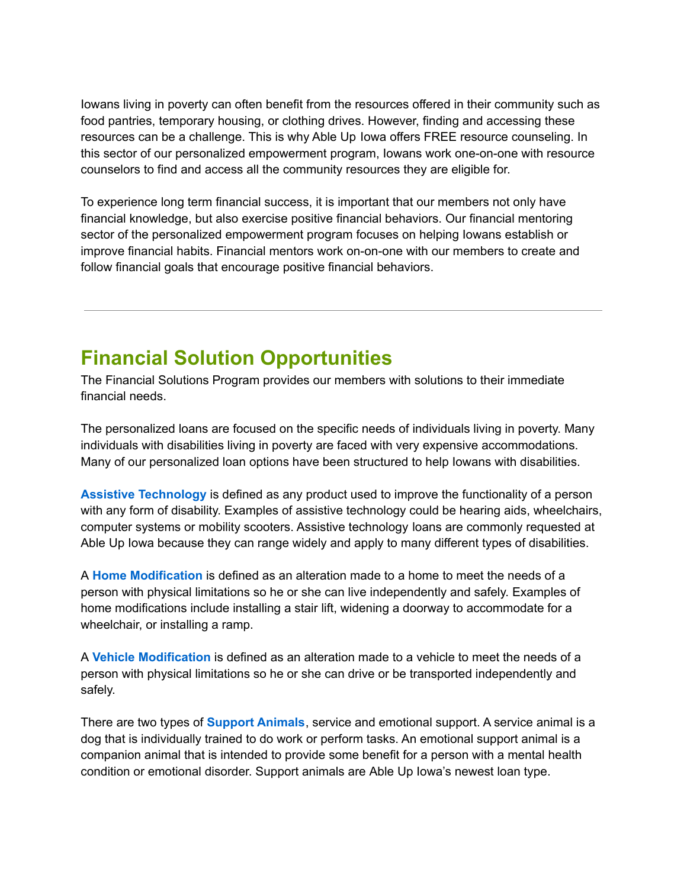Iowans living in poverty can often benefit from the resources offered in their community such as food pantries, temporary housing, or clothing drives. However, finding and accessing these resources can be a challenge. This is why Able Up Iowa offers FREE resource counseling. In this sector of our personalized empowerment program, Iowans work one-on-one with resource counselors to find and access all the community resources they are eligible for.

To experience long term financial success, it is important that our members not only have financial knowledge, but also exercise positive financial behaviors. Our financial mentoring sector of the personalized empowerment program focuses on helping Iowans establish or improve financial habits. Financial mentors work on-on-one with our members to create and follow financial goals that encourage positive financial behaviors.

### **Financial Solution Opportunities**

The Financial Solutions Program provides our members with solutions to their immediate financial needs.

The personalized loans are focused on the specific needs of individuals living in poverty. Many individuals with disabilities living in poverty are faced with very expensive accommodations. Many of our personalized loan options have been structured to help Iowans with disabilities.

**Assistive Technology** is defined as any product used to improve the functionality of a person with any form of disability. Examples of assistive technology could be hearing aids, wheelchairs, computer systems or mobility scooters. Assistive technology loans are commonly requested at Able Up Iowa because they can range widely and apply to many different types of disabilities.

A **Home Modification** is defined as an alteration made to a home to meet the needs of a person with physical limitations so he or she can live independently and safely. Examples of home modifications include installing a stair lift, widening a doorway to accommodate for a wheelchair, or installing a ramp.

A **Vehicle Modification** is defined as an alteration made to a vehicle to meet the needs of a person with physical limitations so he or she can drive or be transported independently and safely.

There are two types of **Support Animals**, service and emotional support. A service animal is a dog that is individually trained to do work or perform tasks. An emotional support animal is a companion animal that is intended to provide some benefit for a person with a mental health condition or emotional disorder. Support animals are Able Up Iowa's newest loan type.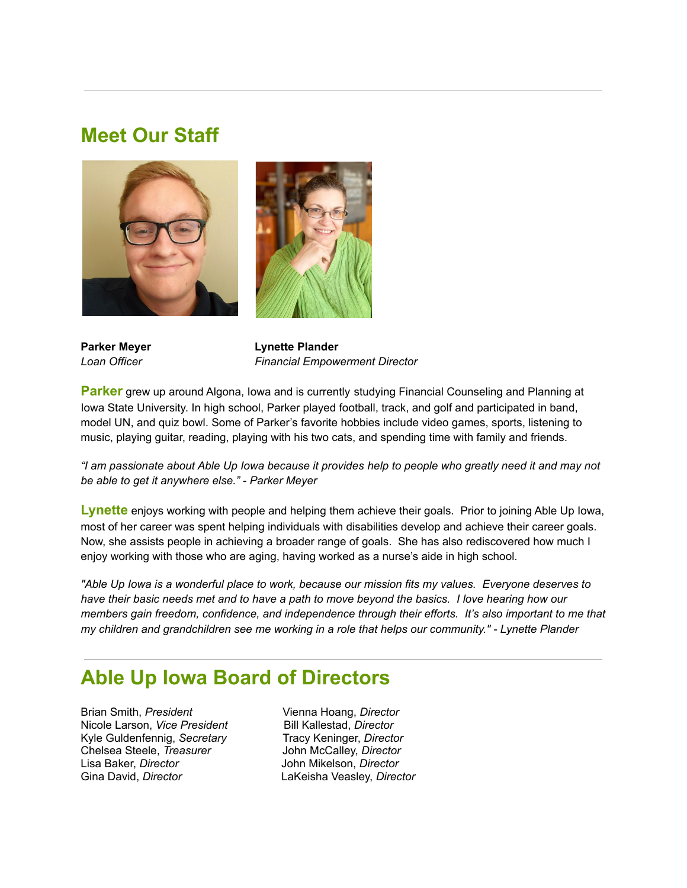#### **Meet Our Staff**





**Parker Meyer Lynette Plander** *Loan Officer Financial Empowerment Director*

**Parker** grew up around Algona, Iowa and is currently studying Financial Counseling and Planning at Iowa State University. In high school, Parker played football, track, and golf and participated in band, model UN, and quiz bowl. Some of Parker's favorite hobbies include video games, sports, listening to music, playing guitar, reading, playing with his two cats, and spending time with family and friends.

"I am passionate about Able Up Iowa because it provides help to people who greatly need it and may not *be able to get it anywhere else." - Parker Meyer*

**Lynette** enjoys working with people and helping them achieve their goals. Prior to joining Able Up Iowa, most of her career was spent helping individuals with disabilities develop and achieve their career goals. Now, she assists people in achieving a broader range of goals. She has also rediscovered how much I enjoy working with those who are aging, having worked as a nurse's aide in high school.

"Able Up lowa is a wonderful place to work, because our mission fits my values. Everyone deserves to have their basic needs met and to have a path to move beyond the basics. I love hearing how our *members gain freedom, confidence, and independence through their efforts. It's also important to me that my children and grandchildren see me working in a role that helps our community." - Lynette Plander*

#### **Able Up Iowa Board of Directors**

Brian Smith, *President* Vienna Hoang, *Director* Nicole Larson, *Vice President* Bill Kallestad, *Director* Kyle Guldenfennig, *Secretary* Tracy Keninger, *Director* Chelsea Steele, *Treasurer* John McCalley, *Director* Lisa Baker, *Director* John Mikelson, *Director* Gina David, *Director* LaKeisha Veasley, *Director*